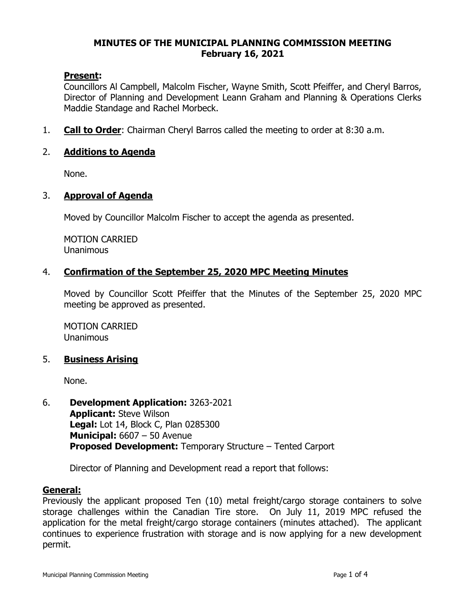### **MINUTES OF THE MUNICIPAL PLANNING COMMISSION MEETING February 16, 2021**

## **Present:**

Councillors Al Campbell, Malcolm Fischer, Wayne Smith, Scott Pfeiffer, and Cheryl Barros, Director of Planning and Development Leann Graham and Planning & Operations Clerks Maddie Standage and Rachel Morbeck.

1. **Call to Order**: Chairman Cheryl Barros called the meeting to order at 8:30 a.m.

## 2. **Additions to Agenda**

None.

### 3. **Approval of Agenda**

Moved by Councillor Malcolm Fischer to accept the agenda as presented.

MOTION CARRIED Unanimous

## 4. **Confirmation of the September 25, 2020 MPC Meeting Minutes**

Moved by Councillor Scott Pfeiffer that the Minutes of the September 25, 2020 MPC meeting be approved as presented.

MOTION CARRIED **Unanimous** 

### 5. **Business Arising**

None.

6. **Development Application:** 3263-2021 **Applicant:** Steve Wilson **Legal:** Lot 14, Block C, Plan 0285300 **Municipal:** 6607 – 50 Avenue **Proposed Development:** Temporary Structure – Tented Carport

Director of Planning and Development read a report that follows:

### **General:**

Previously the applicant proposed Ten (10) metal freight/cargo storage containers to solve storage challenges within the Canadian Tire store. On July 11, 2019 MPC refused the application for the metal freight/cargo storage containers (minutes attached). The applicant continues to experience frustration with storage and is now applying for a new development permit.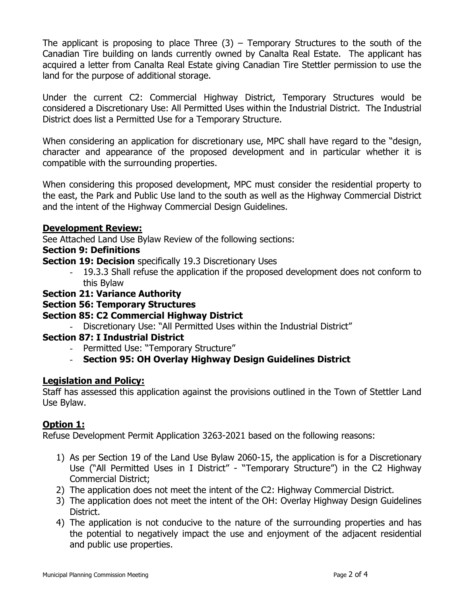The applicant is proposing to place Three  $(3)$  – Temporary Structures to the south of the Canadian Tire building on lands currently owned by Canalta Real Estate. The applicant has acquired a letter from Canalta Real Estate giving Canadian Tire Stettler permission to use the land for the purpose of additional storage.

Under the current C2: Commercial Highway District, Temporary Structures would be considered a Discretionary Use: All Permitted Uses within the Industrial District. The Industrial District does list a Permitted Use for a Temporary Structure.

When considering an application for discretionary use, MPC shall have regard to the "design, character and appearance of the proposed development and in particular whether it is compatible with the surrounding properties.

When considering this proposed development, MPC must consider the residential property to the east, the Park and Public Use land to the south as well as the Highway Commercial District and the intent of the Highway Commercial Design Guidelines.

## **Development Review:**

See Attached Land Use Bylaw Review of the following sections:

## **Section 9: Definitions**

**Section 19: Decision** specifically 19.3 Discretionary Uses

- 19.3.3 Shall refuse the application if the proposed development does not conform to this Bylaw

# **Section 21: Variance Authority**

# **Section 56: Temporary Structures**

# **Section 85: C2 Commercial Highway District**

- Discretionary Use: "All Permitted Uses within the Industrial District"

# **Section 87: I Industrial District**

- Permitted Use: "Temporary Structure"

# - **Section 95: OH Overlay Highway Design Guidelines District**

# **Legislation and Policy:**

Staff has assessed this application against the provisions outlined in the Town of Stettler Land Use Bylaw.

# **Option 1:**

Refuse Development Permit Application 3263-2021 based on the following reasons:

- 1) As per Section 19 of the Land Use Bylaw 2060-15, the application is for a Discretionary Use ("All Permitted Uses in I District" - "Temporary Structure") in the C2 Highway Commercial District;
- 2) The application does not meet the intent of the C2: Highway Commercial District.
- 3) The application does not meet the intent of the OH: Overlay Highway Design Guidelines District.
- 4) The application is not conducive to the nature of the surrounding properties and has the potential to negatively impact the use and enjoyment of the adjacent residential and public use properties.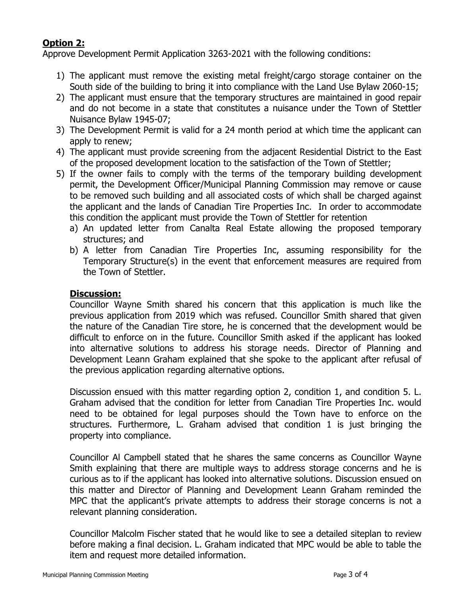# **Option 2:**

Approve Development Permit Application 3263-2021 with the following conditions:

- 1) The applicant must remove the existing metal freight/cargo storage container on the South side of the building to bring it into compliance with the Land Use Bylaw 2060-15;
- 2) The applicant must ensure that the temporary structures are maintained in good repair and do not become in a state that constitutes a nuisance under the Town of Stettler Nuisance Bylaw 1945-07;
- 3) The Development Permit is valid for a 24 month period at which time the applicant can apply to renew;
- 4) The applicant must provide screening from the adjacent Residential District to the East of the proposed development location to the satisfaction of the Town of Stettler;
- 5) If the owner fails to comply with the terms of the temporary building development permit, the Development Officer/Municipal Planning Commission may remove or cause to be removed such building and all associated costs of which shall be charged against the applicant and the lands of Canadian Tire Properties Inc. In order to accommodate this condition the applicant must provide the Town of Stettler for retention
	- a) An updated letter from Canalta Real Estate allowing the proposed temporary structures; and
	- b) A letter from Canadian Tire Properties Inc, assuming responsibility for the Temporary Structure(s) in the event that enforcement measures are required from the Town of Stettler.

## **Discussion:**

Councillor Wayne Smith shared his concern that this application is much like the previous application from 2019 which was refused. Councillor Smith shared that given the nature of the Canadian Tire store, he is concerned that the development would be difficult to enforce on in the future. Councillor Smith asked if the applicant has looked into alternative solutions to address his storage needs. Director of Planning and Development Leann Graham explained that she spoke to the applicant after refusal of the previous application regarding alternative options.

Discussion ensued with this matter regarding option 2, condition 1, and condition 5. L. Graham advised that the condition for letter from Canadian Tire Properties Inc. would need to be obtained for legal purposes should the Town have to enforce on the structures. Furthermore, L. Graham advised that condition 1 is just bringing the property into compliance.

Councillor Al Campbell stated that he shares the same concerns as Councillor Wayne Smith explaining that there are multiple ways to address storage concerns and he is curious as to if the applicant has looked into alternative solutions. Discussion ensued on this matter and Director of Planning and Development Leann Graham reminded the MPC that the applicant's private attempts to address their storage concerns is not a relevant planning consideration.

Councillor Malcolm Fischer stated that he would like to see a detailed siteplan to review before making a final decision. L. Graham indicated that MPC would be able to table the item and request more detailed information.